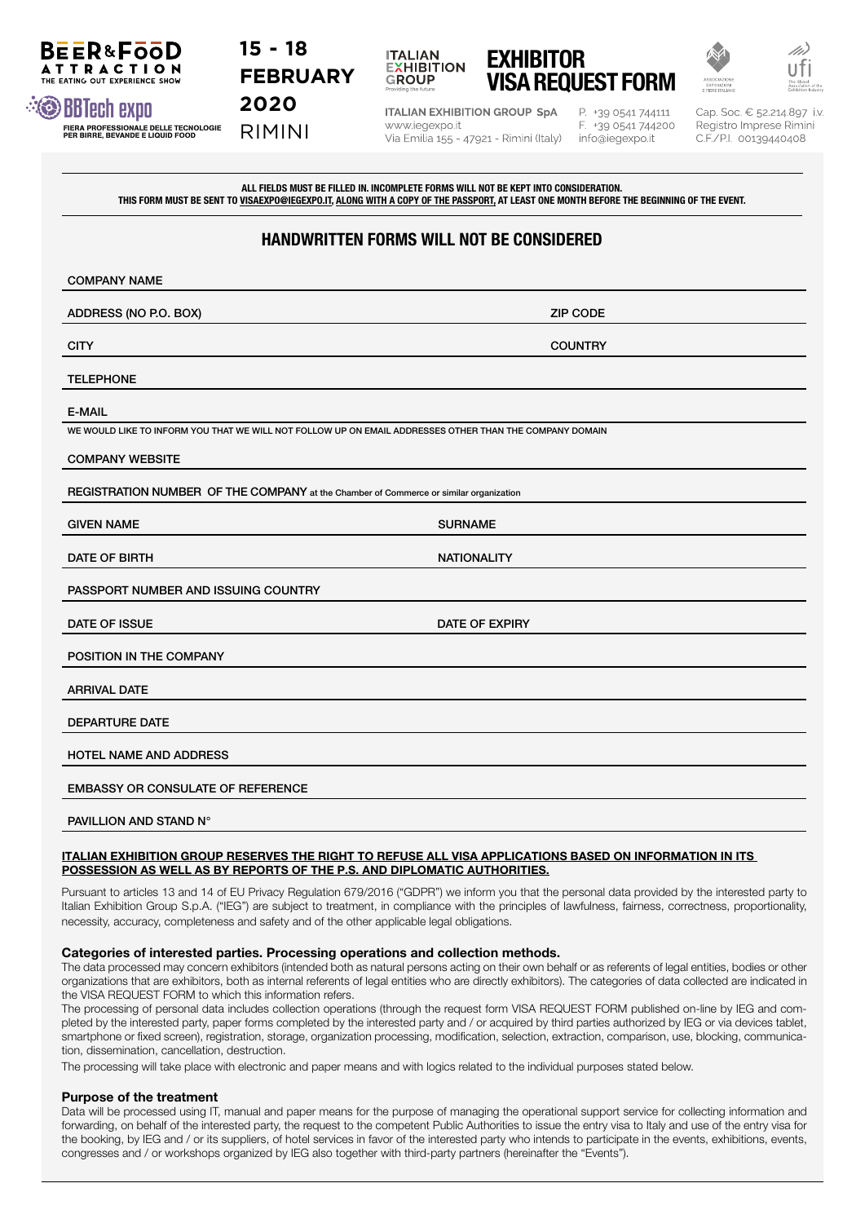# **15 - 18 FEBRUARY**

RIMINI



**ITALIAN EXHIBITION GROUP SpA** www.iegexpo.it Via Emilia 155 - 47921 - Rimini (Italy)

P. +39 0541 744111 F. +39 0541 744200 info@iegexpo.it

Cap. Soc. € 52.214.897 i.v. Registro Imprese Rimini C.F./P.I. 00139440408

ALL FIELDS MUST BE FILLED IN. INCOMPLETE FORMS WILL NOT BE KEPT INTO CONSIDERATION. THIS FORM MUST BE SENT TO VISAEXPO@IEGEXPO.IT, ALONG WITH A COPY OF THE PASSPORT, AT LEAST ONE MONTH BEFORE THE BEGINNING OF THE EVENT.

# HANDWRITTEN FORMS WILL NOT BE CONSIDERED

| <b>COMPANY NAME</b>                                                                                     |                    |
|---------------------------------------------------------------------------------------------------------|--------------------|
| ADDRESS (NO P.O. BOX)                                                                                   | <b>ZIP CODE</b>    |
| <b>CITY</b>                                                                                             | <b>COUNTRY</b>     |
| <b>TELEPHONE</b>                                                                                        |                    |
| <b>E-MAIL</b>                                                                                           |                    |
| WE WOULD LIKE TO INFORM YOU THAT WE WILL NOT FOLLOW UP ON EMAIL ADDRESSES OTHER THAN THE COMPANY DOMAIN |                    |
| <b>COMPANY WEBSITE</b>                                                                                  |                    |
| REGISTRATION NUMBER OF THE COMPANY at the Chamber of Commerce or similar organization                   |                    |
| <b>GIVEN NAME</b>                                                                                       | <b>SURNAME</b>     |
| <b>DATE OF BIRTH</b>                                                                                    | <b>NATIONALITY</b> |
| PASSPORT NUMBER AND ISSUING COUNTRY                                                                     |                    |
| DATE OF ISSUE                                                                                           | DATE OF EXPIRY     |
| POSITION IN THE COMPANY                                                                                 |                    |
| <b>ARRIVAL DATE</b>                                                                                     |                    |
| <b>DEPARTURE DATE</b>                                                                                   |                    |
| <b>HOTEL NAME AND ADDRESS</b>                                                                           |                    |
| <b>EMBASSY OR CONSULATE OF REFERENCE</b>                                                                |                    |
| PAVILLION AND STAND N°                                                                                  |                    |

#### ITALIAN EXHIBITION GROUP RESERVES THE RIGHT TO REFUSE ALL VISA APPLICATIONS BASED ON INFORMATION IN ITS POSSESSION AS WELL AS BY REPORTS OF THE P.S. AND DIPLOMATIC AUTHORITIES.

Pursuant to articles 13 and 14 of EU Privacy Regulation 679/2016 ("GDPR") we inform you that the personal data provided by the interested party to Italian Exhibition Group S.p.A. ("IEG") are subject to treatment, in compliance with the principles of lawfulness, fairness, correctness, proportionality, necessity, accuracy, completeness and safety and of the other applicable legal obligations.

## Categories of interested parties. Processing operations and collection methods.

The data processed may concern exhibitors (intended both as natural persons acting on their own behalf or as referents of legal entities, bodies or other organizations that are exhibitors, both as internal referents of legal entities who are directly exhibitors). The categories of data collected are indicated in the VISA REQUEST FORM to which this information refers.

The processing of personal data includes collection operations (through the request form VISA REQUEST FORM published on-line by IEG and completed by the interested party, paper forms completed by the interested party and / or acquired by third parties authorized by IEG or via devices tablet, smartphone or fixed screen), registration, storage, organization processing, modification, selection, extraction, comparison, use, blocking, communication, dissemination, cancellation, destruction.

The processing will take place with electronic and paper means and with logics related to the individual purposes stated below.

## Purpose of the treatment

Data will be processed using IT, manual and paper means for the purpose of managing the operational support service for collecting information and forwarding, on behalf of the interested party, the request to the competent Public Authorities to issue the entry visa to Italy and use of the entry visa for the booking, by IEG and / or its suppliers, of hotel services in favor of the interested party who intends to participate in the events, exhibitions, events, congresses and / or workshops organized by IEG also together with third-party partners (hereinafter the "Events").



BEER&FOOD

**ATTRACTION** 

Fiera proFessionale delle tecnologie per birre, bevande e liquid Food

**2020**

VISA REQUEST FORM

EXHIBITOR